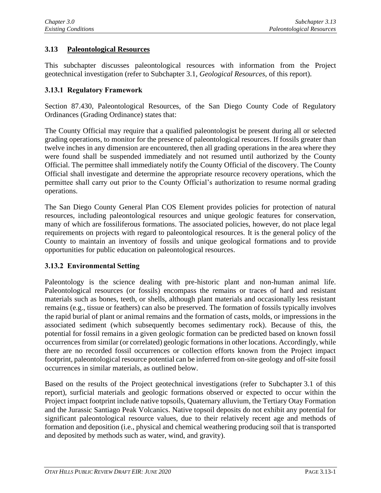## **3.13 Paleontological Resources**

This subchapter discusses paleontological resources with information from the Project geotechnical investigation (refer to Subchapter 3.1, *Geological Resources*, of this report).

## **3.13.1 Regulatory Framework**

Section 87.430, Paleontological Resources, of the San Diego County Code of Regulatory Ordinances (Grading Ordinance) states that:

The County Official may require that a qualified paleontologist be present during all or selected grading operations, to monitor for the presence of paleontological resources. If fossils greater than twelve inches in any dimension are encountered, then all grading operations in the area where they were found shall be suspended immediately and not resumed until authorized by the County Official. The permittee shall immediately notify the County Official of the discovery. The County Official shall investigate and determine the appropriate resource recovery operations, which the permittee shall carry out prior to the County Official's authorization to resume normal grading operations.

The San Diego County General Plan COS Element provides policies for protection of natural resources, including paleontological resources and unique geologic features for conservation, many of which are fossiliferous formations. The associated policies, however, do not place legal requirements on projects with regard to paleontological resources. It is the general policy of the County to maintain an inventory of fossils and unique geological formations and to provide opportunities for public education on paleontological resources.

## **3.13.2 Environmental Setting**

Paleontology is the science dealing with pre-historic plant and non-human animal life. Paleontological resources (or fossils) encompass the remains or traces of hard and resistant materials such as bones, teeth, or shells, although plant materials and occasionally less resistant remains (e.g., tissue or feathers) can also be preserved. The formation of fossils typically involves the rapid burial of plant or animal remains and the formation of casts, molds, or impressions in the associated sediment (which subsequently becomes sedimentary rock). Because of this, the potential for fossil remains in a given geologic formation can be predicted based on known fossil occurrences from similar (or correlated) geologic formations in other locations. Accordingly, while there are no recorded fossil occurrences or collection efforts known from the Project impact footprint, paleontological resource potential can be inferred from on-site geology and off-site fossil occurrences in similar materials, as outlined below.

Based on the results of the Project geotechnical investigations (refer to Subchapter 3.1 of this report), surficial materials and geologic formations observed or expected to occur within the Project impact footprint include native topsoils, Quaternary alluvium, the Tertiary Otay Formation and the Jurassic Santiago Peak Volcanics. Native topsoil deposits do not exhibit any potential for significant paleontological resource values, due to their relatively recent age and methods of formation and deposition (i.e., physical and chemical weathering producing soil that is transported and deposited by methods such as water, wind, and gravity).